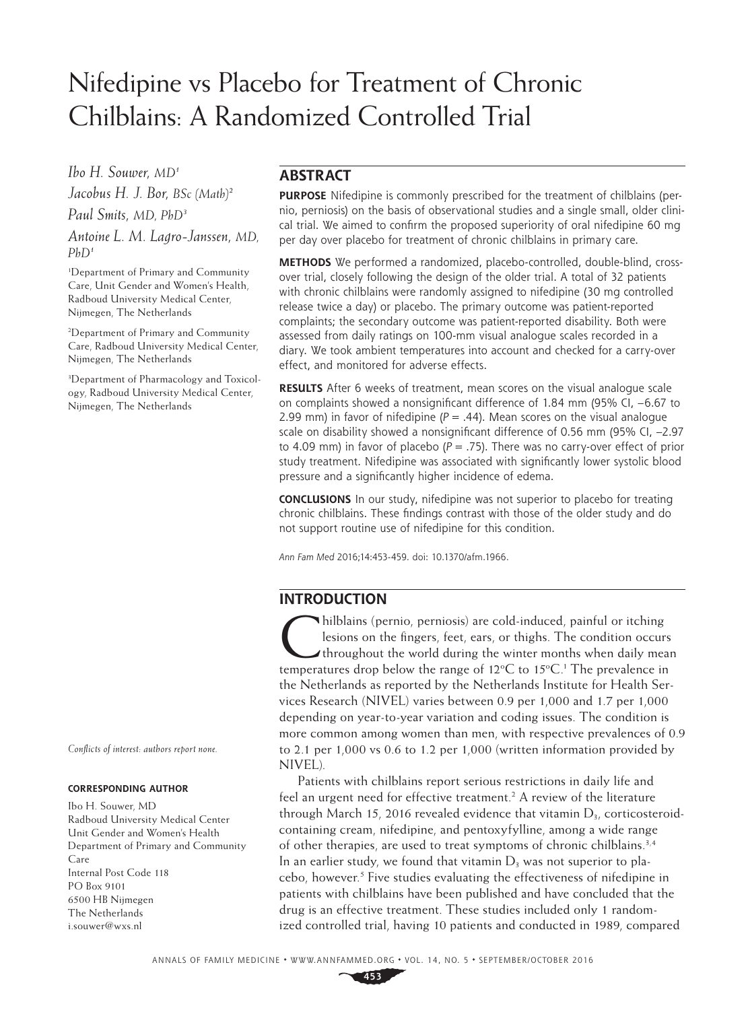# Nifedipine vs Placebo for Treatment of Chronic Chilblains: A Randomized Controlled Trial

*Ibo H. Souwer, MD1 Jacobus H. J. Bor, BSc (Math)2 Paul Smits, MD, PhD3*

*Antoine L. M. Lagro-Janssen, MD, PhD1*

1 Department of Primary and Community Care, Unit Gender and Women's Health, Radboud University Medical Center, Nijmegen, The Netherlands

2 Department of Primary and Community Care, Radboud University Medical Center, Nijmegen, The Netherlands

3 Department of Pharmacology and Toxicology, Radboud University Medical Center, Nijmegen, The Netherlands

*Conflicts of interest: authors report none.*

#### **CORRESPONDING AUTHOR**

Ibo H. Souwer, MD Radboud University Medical Center Unit Gender and Women's Health Department of Primary and Community Care Internal Post Code 118 PO Box 9101 6500 HB Nijmegen The Netherlands [i.souwer@wxs.nl](mailto:i.souwer@wxs.nl)

# **ABSTRACT**

**PURPOSE** Nifedipine is commonly prescribed for the treatment of chilblains (pernio, perniosis) on the basis of observational studies and a single small, older clinical trial. We aimed to confirm the proposed superiority of oral nifedipine 60 mg per day over placebo for treatment of chronic chilblains in primary care.

**METHODS** We performed a randomized, placebo-controlled, double-blind, crossover trial, closely following the design of the older trial. A total of 32 patients with chronic chilblains were randomly assigned to nifedipine (30 mg controlled release twice a day) or placebo. The primary outcome was patient-reported complaints; the secondary outcome was patient-reported disability. Both were assessed from daily ratings on 100-mm visual analogue scales recorded in a diary. We took ambient temperatures into account and checked for a carry-over effect, and monitored for adverse effects.

**RESULTS** After 6 weeks of treatment, mean scores on the visual analogue scale on complaints showed a nonsignificant difference of 1.84 mm (95% CI, –6.67 to 2.99 mm) in favor of nifedipine  $(P = .44)$ . Mean scores on the visual analogue scale on disability showed a nonsignificant difference of 0.56 mm (95% CI, –2.97 to 4.09 mm) in favor of placebo ( $P = .75$ ). There was no carry-over effect of prior study treatment. Nifedipine was associated with significantly lower systolic blood pressure and a significantly higher incidence of edema.

**CONCLUSIONS** In our study, nifedipine was not superior to placebo for treating chronic chilblains. These findings contrast with those of the older study and do not support routine use of nifedipine for this condition.

*Ann Fam Med* 2016;14:453-459. doi: 10.1370/afm.1966.

# **INTRODUCTION**

hilblains (pernio, perniosis) are cold-induced, painful or itching<br>lesions on the fingers, feet, ears, or thighs. The condition occur<br>throughout the world during the winter months when daily measurements<br>throughout he were lesions on the fingers, feet, ears, or thighs. The condition occurs Ithroughout the world during the winter months when daily mean temperatures drop below the range of  $12^{\circ}$ C to  $15^{\circ}$ C.<sup>1</sup> The prevalence in the Netherlands as reported by the Netherlands Institute for Health Services Research (NIVEL) varies between 0.9 per 1,000 and 1.7 per 1,000 depending on year-to-year variation and coding issues. The condition is more common among women than men, with respective prevalences of 0.9 to 2.1 per 1,000 vs 0.6 to 1.2 per 1,000 (written information provided by NIVEL).

Patients with chilblains report serious restrictions in daily life and feel an urgent need for effective treatment.<sup>2</sup> A review of the literature through March 15, 2016 revealed evidence that vitamin  $D_{3}$ , corticosteroidcontaining cream, nifedipine, and pentoxyfylline, among a wide range of other therapies, are used to treat symptoms of chronic chilblains.<sup>3,4</sup> In an earlier study, we found that vitamin  $D_3$  was not superior to placebo, however.<sup>5</sup> Five studies evaluating the effectiveness of nifedipine in patients with chilblains have been published and have concluded that the drug is an effective treatment. These studies included only 1 randomized controlled trial, having 10 patients and conducted in 1989, compared

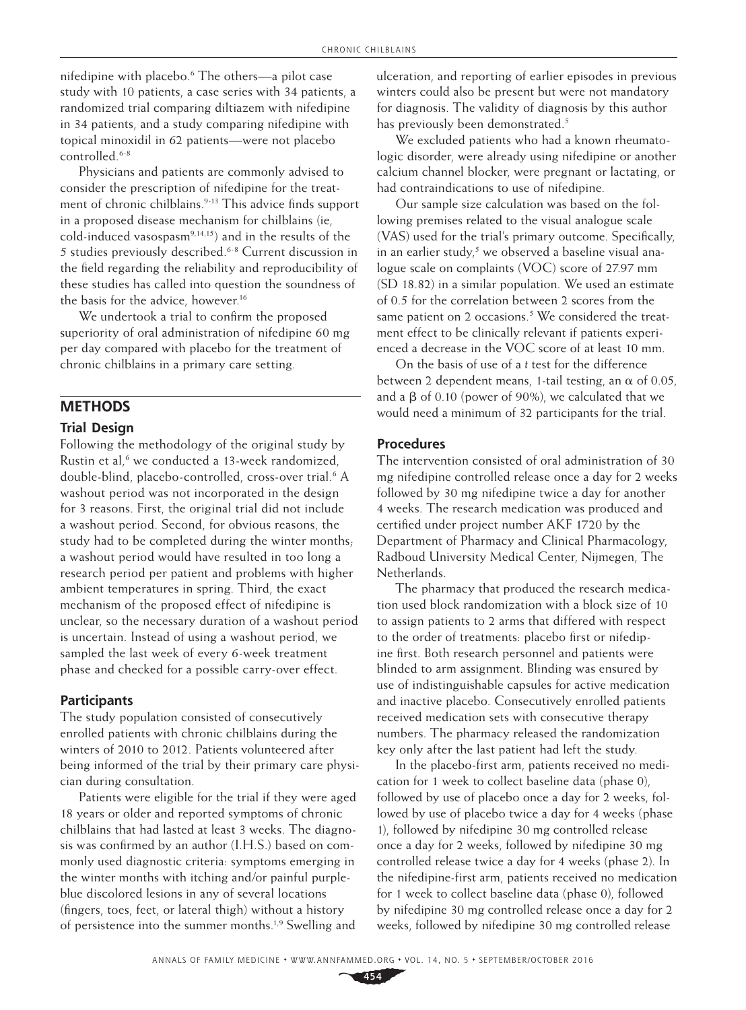nifedipine with placebo.6 The others—a pilot case study with 10 patients, a case series with 34 patients, a randomized trial comparing diltiazem with nifedipine in 34 patients, and a study comparing nifedipine with topical minoxidil in 62 patients—were not placebo controlled.6-8

Physicians and patients are commonly advised to consider the prescription of nifedipine for the treatment of chronic chilblains.<sup>9-13</sup> This advice finds support in a proposed disease mechanism for chilblains (ie, cold-induced vasospasm<sup>9,14,15</sup>) and in the results of the 5 studies previously described.6-8 Current discussion in the field regarding the reliability and reproducibility of these studies has called into question the soundness of the basis for the advice, however.<sup>16</sup>

We undertook a trial to confirm the proposed superiority of oral administration of nifedipine 60 mg per day compared with placebo for the treatment of chronic chilblains in a primary care setting.

# **METHODS**

#### **Trial Design**

Following the methodology of the original study by Rustin et al,<sup>6</sup> we conducted a 13-week randomized, double-blind, placebo-controlled, cross-over trial.<sup>6</sup> A washout period was not incorporated in the design for 3 reasons. First, the original trial did not include a washout period. Second, for obvious reasons, the study had to be completed during the winter months; a washout period would have resulted in too long a research period per patient and problems with higher ambient temperatures in spring. Third, the exact mechanism of the proposed effect of nifedipine is unclear, so the necessary duration of a washout period is uncertain. Instead of using a washout period, we sampled the last week of every 6-week treatment phase and checked for a possible carry-over effect.

#### **Participants**

The study population consisted of consecutively enrolled patients with chronic chilblains during the winters of 2010 to 2012. Patients volunteered after being informed of the trial by their primary care physician during consultation.

Patients were eligible for the trial if they were aged 18 years or older and reported symptoms of chronic chilblains that had lasted at least 3 weeks. The diagnosis was confirmed by an author (I.H.S.) based on commonly used diagnostic criteria: symptoms emerging in the winter months with itching and/or painful purpleblue discolored lesions in any of several locations (fingers, toes, feet, or lateral thigh) without a history of persistence into the summer months.<sup>1,9</sup> Swelling and ulceration, and reporting of earlier episodes in previous winters could also be present but were not mandatory for diagnosis. The validity of diagnosis by this author has previously been demonstrated.<sup>5</sup>

We excluded patients who had a known rheumatologic disorder, were already using nifedipine or another calcium channel blocker, were pregnant or lactating, or had contraindications to use of nifedipine.

Our sample size calculation was based on the following premises related to the visual analogue scale (VAS) used for the trial's primary outcome. Specifically, in an earlier study,<sup>5</sup> we observed a baseline visual analogue scale on complaints (VOC) score of 27.97 mm (SD 18.82) in a similar population. We used an estimate of 0.5 for the correlation between 2 scores from the same patient on 2 occasions.<sup>5</sup> We considered the treatment effect to be clinically relevant if patients experienced a decrease in the VOC score of at least 10 mm.

On the basis of use of a *t* test for the difference between 2 dependent means, 1-tail testing, an  $\alpha$  of 0.05, and a  $\beta$  of 0.10 (power of 90%), we calculated that we would need a minimum of 32 participants for the trial.

#### **Procedures**

The intervention consisted of oral administration of 30 mg nifedipine controlled release once a day for 2 weeks followed by 30 mg nifedipine twice a day for another 4 weeks. The research medication was produced and certified under project number AKF 1720 by the Department of Pharmacy and Clinical Pharmacology, Radboud University Medical Center, Nijmegen, The Netherlands.

The pharmacy that produced the research medication used block randomization with a block size of 10 to assign patients to 2 arms that differed with respect to the order of treatments: placebo first or nifedipine first. Both research personnel and patients were blinded to arm assignment. Blinding was ensured by use of indistinguishable capsules for active medication and inactive placebo. Consecutively enrolled patients received medication sets with consecutive therapy numbers. The pharmacy released the randomization key only after the last patient had left the study.

In the placebo-first arm, patients received no medication for 1 week to collect baseline data (phase 0), followed by use of placebo once a day for 2 weeks, followed by use of placebo twice a day for 4 weeks (phase 1), followed by nifedipine 30 mg controlled release once a day for 2 weeks, followed by nifedipine 30 mg controlled release twice a day for 4 weeks (phase 2). In the nifedipine-first arm, patients received no medication for 1 week to collect baseline data (phase 0), followed by nifedipine 30 mg controlled release once a day for 2 weeks, followed by nifedipine 30 mg controlled release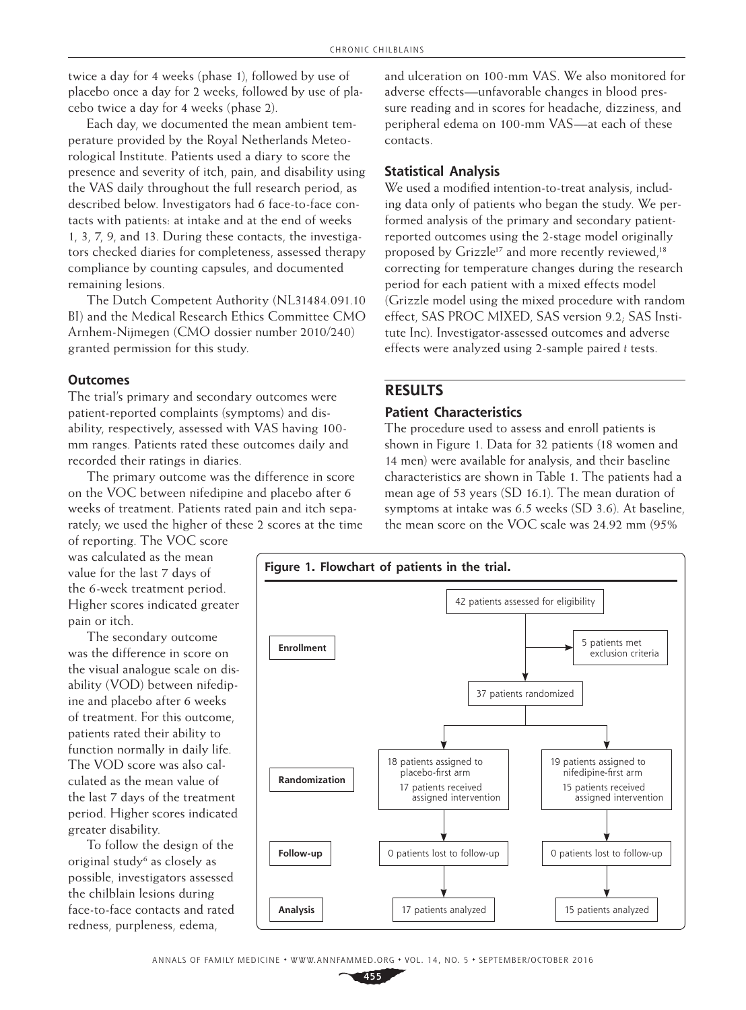twice a day for 4 weeks (phase 1), followed by use of placebo once a day for 2 weeks, followed by use of placebo twice a day for 4 weeks (phase 2).

Each day, we documented the mean ambient temperature provided by the Royal Netherlands Meteorological Institute. Patients used a diary to score the presence and severity of itch, pain, and disability using the VAS daily throughout the full research period, as described below. Investigators had 6 face-to-face contacts with patients: at intake and at the end of weeks 1, 3, 7, 9, and 13. During these contacts, the investigators checked diaries for completeness, assessed therapy compliance by counting capsules, and documented remaining lesions.

The Dutch Competent Authority (NL31484.091.10 BI) and the Medical Research Ethics Committee CMO Arnhem-Nijmegen (CMO dossier number 2010/240) granted permission for this study.

#### **Outcomes**

The trial's primary and secondary outcomes were patient-reported complaints (symptoms) and disability, respectively, assessed with VAS having 100 mm ranges. Patients rated these outcomes daily and recorded their ratings in diaries.

The primary outcome was the difference in score on the VOC between nifedipine and placebo after 6 weeks of treatment. Patients rated pain and itch separately; we used the higher of these 2 scores at the time and ulceration on 100-mm VAS. We also monitored for adverse effects—unfavorable changes in blood pressure reading and in scores for headache, dizziness, and peripheral edema on 100-mm VAS—at each of these contacts.

## **Statistical Analysis**

We used a modified intention-to-treat analysis, including data only of patients who began the study. We performed analysis of the primary and secondary patientreported outcomes using the 2-stage model originally proposed by Grizzle<sup>17</sup> and more recently reviewed.<sup>18</sup> correcting for temperature changes during the research period for each patient with a mixed effects model (Grizzle model using the mixed procedure with random effect, SAS PROC MIXED, SAS version 9.2; SAS Institute Inc). Investigator-assessed outcomes and adverse effects were analyzed using 2-sample paired *t* tests.

# **RESULTS**

## **Patient Characteristics**

The procedure used to assess and enroll patients is shown in Figure 1. Data for 32 patients (18 women and 14 men) were available for analysis, and their baseline characteristics are shown in Table 1. The patients had a mean age of 53 years (SD 16.1). The mean duration of symptoms at intake was 6.5 weeks (SD 3.6). At baseline, the mean score on the VOC scale was 24.92 mm (95%

of reporting. The VOC score was calculated as the mean value for the last 7 days of the 6-week treatment period. Higher scores indicated greater pain or itch.

The secondary outcome was the difference in score on the visual analogue scale on disability (VOD) between nifedipine and placebo after 6 weeks of treatment. For this outcome, patients rated their ability to function normally in daily life. The VOD score was also calculated as the mean value of the last 7 days of the treatment period. Higher scores indicated greater disability.

To follow the design of the original study<sup>6</sup> as closely as possible, investigators assessed the chilblain lesions during face-to-face contacts and rated redness, purpleness, edema,

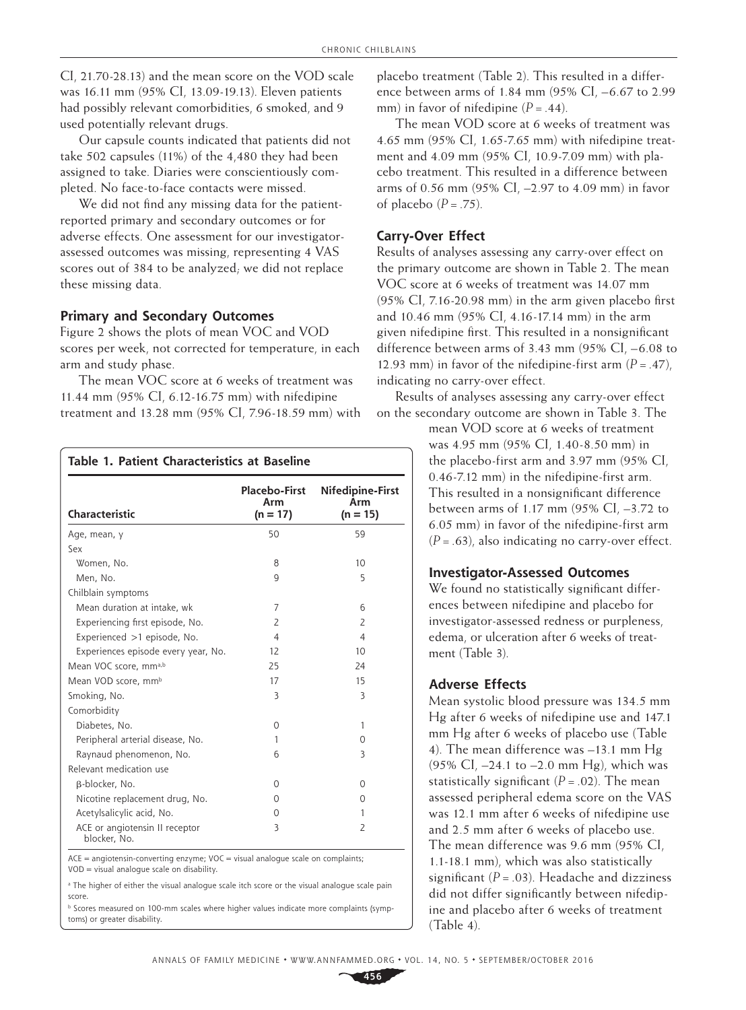CI, 21.70-28.13) and the mean score on the VOD scale was 16.11 mm (95% CI, 13.09-19.13). Eleven patients had possibly relevant comorbidities, 6 smoked, and 9 used potentially relevant drugs.

Our capsule counts indicated that patients did not take 502 capsules (11%) of the 4,480 they had been assigned to take. Diaries were conscientiously completed. No face-to-face contacts were missed.

We did not find any missing data for the patientreported primary and secondary outcomes or for adverse effects. One assessment for our investigatorassessed outcomes was missing, representing 4 VAS scores out of 384 to be analyzed; we did not replace these missing data.

## **Primary and Secondary Outcomes**

Figure 2 shows the plots of mean VOC and VOD scores per week, not corrected for temperature, in each arm and study phase.

The mean VOC score at 6 weeks of treatment was 11.44 mm (95% CI, 6.12-16.75 mm) with nifedipine treatment and 13.28 mm (95% CI, 7.96-18.59 mm) with

| Table 1. Patient Characteristics at Baseline   |                                           |                                       |  |  |
|------------------------------------------------|-------------------------------------------|---------------------------------------|--|--|
| Characteristic                                 | <b>Placebo-First</b><br>Arm<br>$(n = 17)$ | Nifedipine-First<br>Arm<br>$(n = 15)$ |  |  |
| Age, mean, y                                   | 50                                        | 59                                    |  |  |
| Sex                                            |                                           |                                       |  |  |
| Women, No.                                     | 8                                         | 10 <sup>2</sup>                       |  |  |
| Men. No.                                       | 9                                         | 5                                     |  |  |
| Chilblain symptoms                             |                                           |                                       |  |  |
| Mean duration at intake, wk                    | 7                                         | 6                                     |  |  |
| Experiencing first episode, No.                | $\overline{2}$                            | $\overline{2}$                        |  |  |
| Experienced >1 episode, No.                    | $\overline{4}$                            | $\overline{4}$                        |  |  |
| Experiences episode every year, No.            | 12                                        | 10                                    |  |  |
| Mean VOC score, mma,b                          | 25                                        | 24                                    |  |  |
| Mean VOD score, mm <sup>b</sup>                | 17                                        | 15                                    |  |  |
| Smoking, No.                                   | 3                                         | 3                                     |  |  |
| Comorbidity                                    |                                           |                                       |  |  |
| Diabetes, No.                                  | $\Omega$                                  | 1                                     |  |  |
| Peripheral arterial disease, No.               | 1                                         | $\Omega$                              |  |  |
| Raynaud phenomenon, No.                        | 6                                         | 3                                     |  |  |
| Relevant medication use                        |                                           |                                       |  |  |
| β-blocker, No.                                 | $\Omega$                                  | 0                                     |  |  |
| Nicotine replacement drug, No.                 | 0                                         | 0                                     |  |  |
| Acetylsalicylic acid, No.                      | $\Omega$                                  | 1                                     |  |  |
| ACE or angiotensin II receptor<br>blocker, No. | 3                                         | $\overline{2}$                        |  |  |

 $ACE = angiotensin-converting enzyme; VOC = visual analogue scale on complaints;$ VOD=visual analogue scale on disability.

a The higher of either the visual analogue scale itch score or the visual analogue scale pain score.

**b** Scores measured on 100-mm scales where higher values indicate more complaints (symptoms) or greater disability.

placebo treatment (Table 2). This resulted in a difference between arms of 1.84 mm (95% CI, –6.67 to 2.99 mm) in favor of nifedipine  $(P = .44)$ .

The mean VOD score at 6 weeks of treatment was 4.65 mm (95% CI, 1.65-7.65 mm) with nifedipine treatment and 4.09 mm (95% CI, 10.9-7.09 mm) with placebo treatment. This resulted in a difference between arms of 0.56 mm (95% CI, –2.97 to 4.09 mm) in favor of placebo  $(P=.75)$ .

# **Carry-Over Effect**

Results of analyses assessing any carry-over effect on the primary outcome are shown in Table 2. The mean VOC score at 6 weeks of treatment was 14.07 mm (95% CI, 7.16-20.98 mm) in the arm given placebo first and 10.46 mm (95% CI, 4.16-17.14 mm) in the arm given nifedipine first. This resulted in a nonsignificant difference between arms of 3.43 mm (95% CI, –6.08 to 12.93 mm) in favor of the nifedipine-first arm  $(P = .47)$ , indicating no carry-over effect.

Results of analyses assessing any carry-over effect on the secondary outcome are shown in Table 3. The

> mean VOD score at 6 weeks of treatment was 4.95 mm (95% CI, 1.40-8.50 mm) in the placebo-first arm and 3.97 mm (95% CI, 0.46-7.12 mm) in the nifedipine-first arm. This resulted in a nonsignificant difference between arms of 1.17 mm (95% CI, –3.72 to 6.05 mm) in favor of the nifedipine-first arm  $(P=.63)$ , also indicating no carry-over effect.

## **Investigator-Assessed Outcomes**

We found no statistically significant differences between nifedipine and placebo for investigator-assessed redness or purpleness, edema, or ulceration after 6 weeks of treatment (Table 3).

# **Adverse Effects**

Mean systolic blood pressure was 134.5 mm Hg after 6 weeks of nifedipine use and 147.1 mm Hg after 6 weeks of placebo use (Table 4). The mean difference was –13.1 mm Hg (95% CI, –24.1 to –2.0 mm Hg), which was statistically significant  $(P=.02)$ . The mean assessed peripheral edema score on the VAS was 12.1 mm after 6 weeks of nifedipine use and 2.5 mm after 6 weeks of placebo use. The mean difference was 9.6 mm (95% CI, 1.1-18.1 mm), which was also statistically significant  $(P=.03)$ . Headache and dizziness did not differ significantly between nifedipine and placebo after 6 weeks of treatment (Table 4).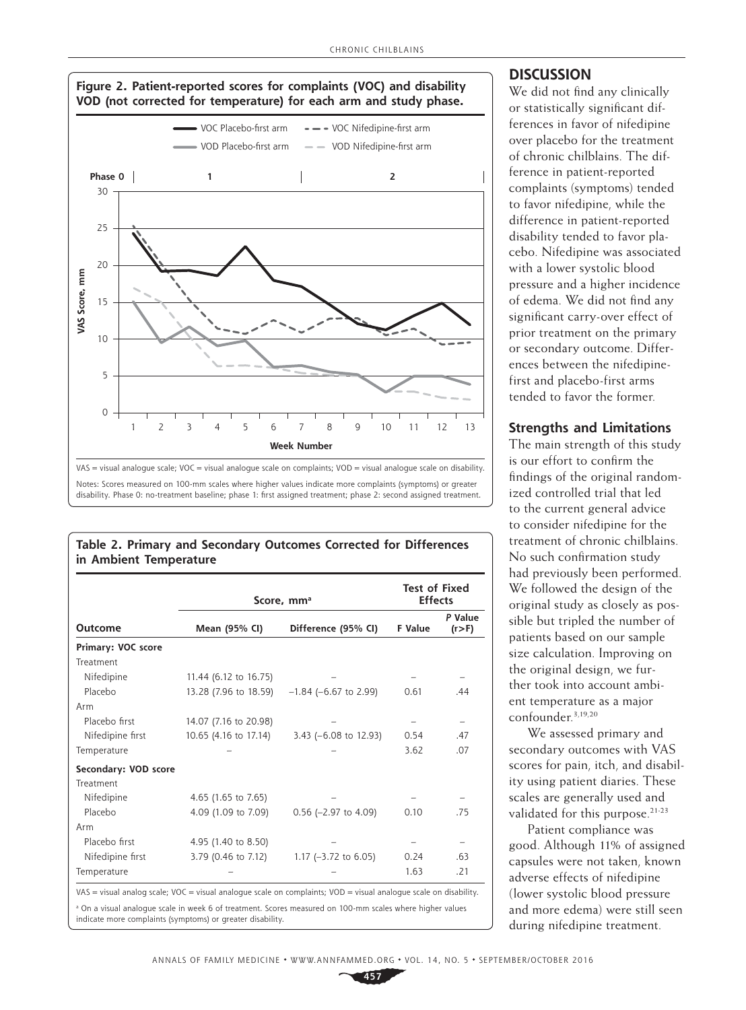

| Table 2. Primary and Secondary Outcomes Corrected for Differences |  |  |
|-------------------------------------------------------------------|--|--|
| in Ambient Temperature                                            |  |  |

|                      | Score, mm <sup>a</sup> | <b>Test of Fixed</b><br><b>Effects</b> |                    |     |
|----------------------|------------------------|----------------------------------------|--------------------|-----|
| <b>Outcome</b>       | Mean (95% CI)          | F Value                                | P Value<br>(r > F) |     |
| Primary: VOC score   |                        |                                        |                    |     |
| Treatment            |                        |                                        |                    |     |
| Nifedipine           | 11.44 (6.12 to 16.75)  |                                        |                    |     |
| Placebo              | 13.28 (7.96 to 18.59)  | $-1.84$ (-6.67 to 2.99)                | 0.61               | .44 |
| Arm                  |                        |                                        |                    |     |
| Placebo first        | 14.07 (7.16 to 20.98)  |                                        |                    |     |
| Nifedipine first     | 10.65 (4.16 to 17.14)  | 3.43 $(-6.08 \text{ to } 12.93)$       | 0.54               | .47 |
| Temperature          |                        |                                        | 3.62               | .07 |
| Secondary: VOD score |                        |                                        |                    |     |
| Treatment            |                        |                                        |                    |     |
| Nifedipine           | 4.65 (1.65 to 7.65)    |                                        |                    |     |
| Placebo              | 4.09 (1.09 to 7.09)    | $0.56$ (-2.97 to 4.09)                 | 0.10               | .75 |
| Arm                  |                        |                                        |                    |     |
| Placebo first        | 4.95 (1.40 to 8.50)    |                                        |                    |     |
| Nifedipine first     | 3.79 (0.46 to 7.12)    | 1.17 $(-3.72$ to 6.05)                 | 0.24               | .63 |
| Temperature          |                        |                                        | 1.63               | .21 |

a On a visual analogue scale in week 6 of treatment. Scores measured on 100-mm scales where higher values

indicate more complaints (symptoms) or greater disability.

## **DISCUSSION**

We did not find any clinically or statistically significant differences in favor of nifedipine over placebo for the treatment of chronic chilblains. The difference in patient-reported complaints (symptoms) tended to favor nifedipine, while the difference in patient-reported disability tended to favor placebo. Nifedipine was associated with a lower systolic blood pressure and a higher incidence of edema. We did not find any significant carry-over effect of prior treatment on the primary or secondary outcome. Differences between the nifedipinefirst and placebo-first arms tended to favor the former.

## **Strengths and Limitations**

The main strength of this study is our effort to confirm the findings of the original randomized controlled trial that led to the current general advice to consider nifedipine for the treatment of chronic chilblains. No such confirmation study had previously been performed. We followed the design of the original study as closely as possible but tripled the number of patients based on our sample size calculation. Improving on the original design, we further took into account ambient temperature as a major confounder.3,19,20

We assessed primary and secondary outcomes with VAS scores for pain, itch, and disability using patient diaries. These scales are generally used and validated for this purpose.<sup>21-23</sup>

Patient compliance was good. Although 11% of assigned capsules were not taken, known adverse effects of nifedipine (lower systolic blood pressure and more edema) were still seen during nifedipine treatment.

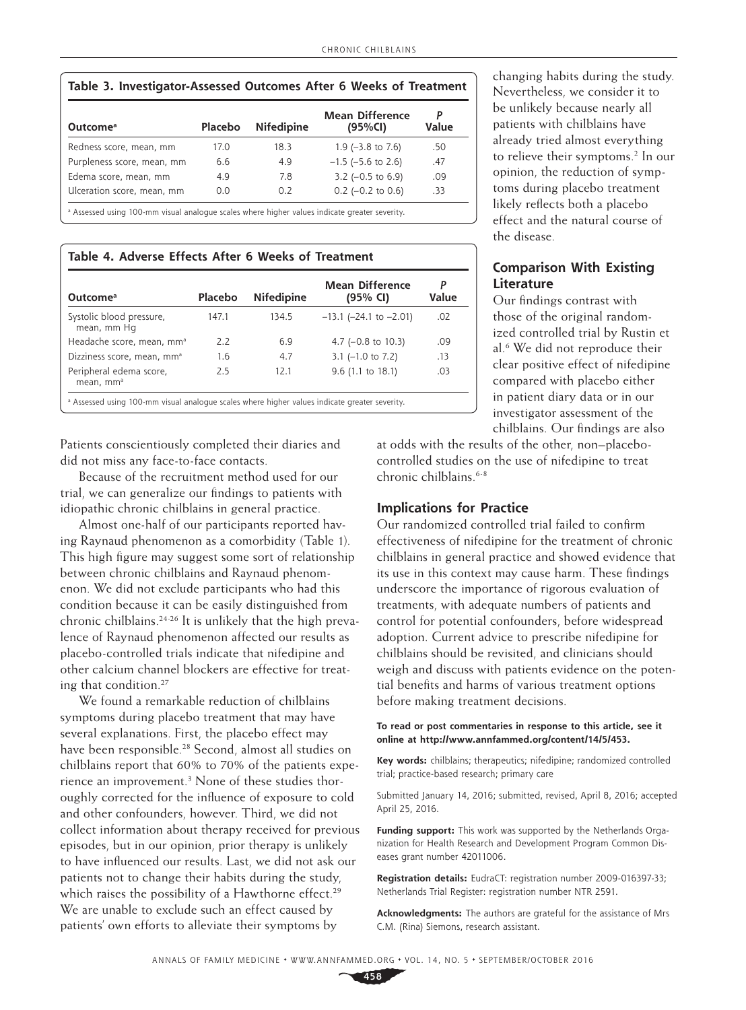| Table 3. Investigator-Assessed Outcomes After 6 Weeks of Treatment |         |                   |                                   |       |
|--------------------------------------------------------------------|---------|-------------------|-----------------------------------|-------|
| Outcome <sup>a</sup>                                               | Placebo | <b>Nifedipine</b> | <b>Mean Difference</b><br>(95%CI) | Value |
| Redness score, mean, mm                                            | 17.0    | 18.3              | 1.9 $(-3.8 \text{ to } 7.6)$      | .50   |
| Purpleness score, mean, mm                                         | 6.6     | 4.9               | $-1.5$ ( $-5.6$ to 2.6)           | .47   |
| Edema score, mean, mm                                              | 4.9     | 7.8               | $3.2$ (-0.5 to 6.9)               | .09   |
| Ulceration score, mean, mm                                         | 0.0     | 0.2               | $0.2$ (-0.2 to 0.6)               | .33   |

Assessed using 100-mm visual analogue scales where higher values indicate greater severity.

#### **Table 4. Adverse Effects After 6 Weeks of Treatment**

| Outcome <sup>a</sup>                             | Placebo | <b>Nifedipine</b> | <b>Mean Difference</b><br>(95% CI) | P<br>Value |
|--------------------------------------------------|---------|-------------------|------------------------------------|------------|
| Systolic blood pressure,<br>mean, mm Hq          | 147.1   | 134.5             | $-13.1$ ( $-24.1$ to $-2.01$ )     | .02        |
| Headache score, mean, mm <sup>a</sup>            | 2.2     | 6.9               | 4.7 $(-0.8$ to 10.3)               | .09        |
| Dizziness score, mean, mm <sup>a</sup>           | 1.6     | 4.7               | $3.1$ (-1.0 to 7.2)                | .13        |
| Peripheral edema score,<br>mean, mm <sup>a</sup> | 2.5     | 12.1              | $9.6$ (1.1 to 18.1)                | .03        |

Patients conscientiously completed their diaries and did not miss any face-to-face contacts.

Because of the recruitment method used for our trial, we can generalize our findings to patients with idiopathic chronic chilblains in general practice.

Almost one-half of our participants reported having Raynaud phenomenon as a comorbidity (Table 1). This high figure may suggest some sort of relationship between chronic chilblains and Raynaud phenomenon. We did not exclude participants who had this condition because it can be easily distinguished from chronic chilblains.24-26 It is unlikely that the high prevalence of Raynaud phenomenon affected our results as placebo-controlled trials indicate that nifedipine and other calcium channel blockers are effective for treating that condition.27

We found a remarkable reduction of chilblains symptoms during placebo treatment that may have several explanations. First, the placebo effect may have been responsible.<sup>28</sup> Second, almost all studies on chilblains report that 60% to 70% of the patients experience an improvement.<sup>3</sup> None of these studies thoroughly corrected for the influence of exposure to cold and other confounders, however. Third, we did not collect information about therapy received for previous episodes, but in our opinion, prior therapy is unlikely to have influenced our results. Last, we did not ask our patients not to change their habits during the study, which raises the possibility of a Hawthorne effect.<sup>29</sup> We are unable to exclude such an effect caused by patients' own efforts to alleviate their symptoms by

changing habits during the study. Nevertheless, we consider it to be unlikely because nearly all patients with chilblains have already tried almost everything to relieve their symptoms.<sup>2</sup> In our opinion, the reduction of symptoms during placebo treatment likely reflects both a placebo effect and the natural course of the disease.

# **Comparison With Existing Literature**

Our findings contrast with those of the original randomized controlled trial by Rustin et al.6 We did not reproduce their clear positive effect of nifedipine compared with placebo either in patient diary data or in our investigator assessment of the chilblains. Our findings are also

at odds with the results of the other, non–placebocontrolled studies on the use of nifedipine to treat chronic chilblains.<sup>6-8</sup>

#### **Implications for Practice**

Our randomized controlled trial failed to confirm effectiveness of nifedipine for the treatment of chronic chilblains in general practice and showed evidence that its use in this context may cause harm. These findings underscore the importance of rigorous evaluation of treatments, with adequate numbers of patients and control for potential confounders, before widespread adoption. Current advice to prescribe nifedipine for chilblains should be revisited, and clinicians should weigh and discuss with patients evidence on the potential benefits and harms of various treatment options before making treatment decisions.

#### **To read or post commentaries in response to this article, see it online at <http://www.annfammed.org/content/14/5/453>.**

**Key words:** chilblains; therapeutics; nifedipine; randomized controlled trial; practice-based research; primary care

Submitted January 14, 2016; submitted, revised, April 8, 2016; accepted April 25, 2016.

**Funding support:** This work was supported by the Netherlands Organization for Health Research and Development Program Common Diseases grant number 42011006.

**Registration details:** EudraCT: registration number 2009-016397-33; Netherlands Trial Register: registration number NTR 2591.

**Acknowledgments:** The authors are grateful for the assistance of Mrs C.M. (Rina) Siemons, research assistant.

**458**